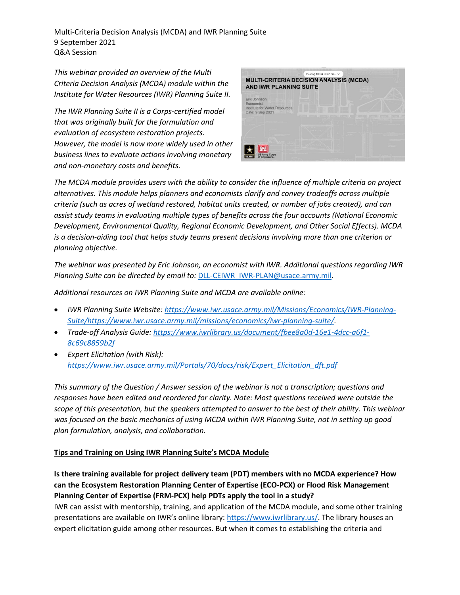Multi-Criteria Decision Analysis (MCDA) and IWR Planning Suite 9 September 2021 Q&A Session

*This webinar provided an overview of the Multi Criteria Decision Analysis (MCDA) module within the Institute for Water Resources (IWR) Planning Suite II.* 

*The IWR Planning Suite II is a Corps-certified model that was originally built for the formulation and evaluation of ecosystem restoration projects. However, the model is now more widely used in other business lines to evaluate actions involving monetary and non-monetary costs and benefits.*

| <b>AND IWR PLANNING SUITE</b>                                                  | Viewing MCDA PCoP Pre V<br><b>MULTI-CRITERIA DECISION ANALYSIS (MCDA)</b> |  |
|--------------------------------------------------------------------------------|---------------------------------------------------------------------------|--|
| Eric Johnson<br>Economist<br>Institute for Water Resources<br>Date: 9 Sep 2021 |                                                                           |  |
|                                                                                |                                                                           |  |
| <b>US Army Corps</b><br>of Engineers <sup>®</sup>                              |                                                                           |  |

*The MCDA module provides users with the ability to consider the influence of multiple criteria on project alternatives. This module helps planners and economists clarify and convey tradeoffs across multiple criteria (such as acres of wetland restored, habitat units created, or number of jobs created), and can assist study teams in evaluating multiple types of benefits across the four accounts (National Economic Development, Environmental Quality, Regional Economic Development, and Other Social Effects). MCDA is a decision-aiding tool that helps study teams present decisions involving more than one criterion or planning objective.*

*The webinar was presented by Eric Johnson, an economist with IWR. Additional questions regarding IWR Planning Suite can be directed by email to:* [DLL-CEIWR\\_IWR-PLAN@usace.army.mil.](mailto:DLL-CEIWR_IWR-PLAN@usace.army.mil)

*Additional resources on IWR Planning Suite and MCDA are available online:*

- *IWR Planning Suite Website: [https://www.iwr.usace.army.mil/Missions/Economics/IWR-Planning-](https://www.iwr.usace.army.mil/Missions/Economics/IWR-Planning-Suite/)[Suite/](https://www.iwr.usace.army.mil/Missions/Economics/IWR-Planning-Suite/)[https://www.iwr.usace.army.mil/missions/economics/iwr-planning-suite/.](https://www.iwr.usace.army.mil/missions/economics/iwr-planning-suite/)*
- *Trade-off Analysis Guide: [https://www.iwrlibrary.us/document/fbee8a0d-16e1-4dcc-a6f1-](https://www.iwrlibrary.us/document/fbee8a0d-16e1-4dcc-a6f1-8c69c8859b2f) [8c69c8859b2f](https://www.iwrlibrary.us/document/fbee8a0d-16e1-4dcc-a6f1-8c69c8859b2f)*
- *Expert Elicitation (with Risk): [https://www.iwr.usace.army.mil/Portals/70/docs/risk/Expert\\_Elicitation\\_dft.pdf](https://www.iwr.usace.army.mil/Portals/70/docs/risk/Expert_Elicitation_dft.pdf)*

*This summary of the Question / Answer session of the webinar is not a transcription; questions and responses have been edited and reordered for clarity. Note: Most questions received were outside the scope of this presentation, but the speakers attempted to answer to the best of their ability. This webinar was focused on the basic mechanics of using MCDA within IWR Planning Suite, not in setting up good plan formulation, analysis, and collaboration.* 

### **Tips and Training on Using IWR Planning Suite's MCDA Module**

**Is there training available for project delivery team (PDT) members with no MCDA experience? How can the Ecosystem Restoration Planning Center of Expertise (ECO-PCX) or Flood Risk Management Planning Center of Expertise (FRM-PCX) help PDTs apply the tool in a study?**

IWR can assist with mentorship, training, and application of the MCDA module, and some other training presentations are available on IWR's online library: [https://www.iwrlibrary.us/.](https://www.iwrlibrary.us/) The library houses an expert elicitation guide among other resources. But when it comes to establishing the criteria and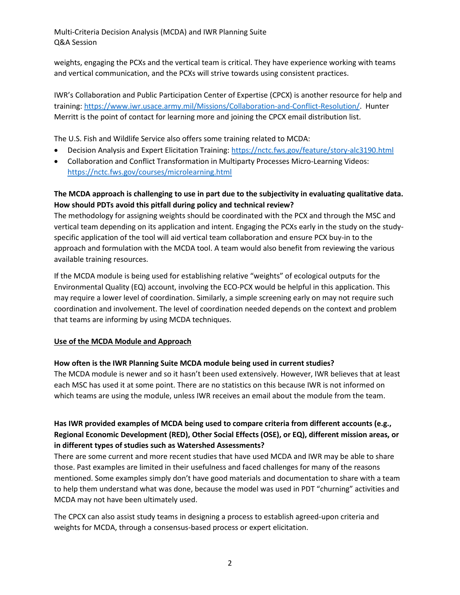weights, engaging the PCXs and the vertical team is critical. They have experience working with teams and vertical communication, and the PCXs will strive towards using consistent practices.

IWR's Collaboration and Public Participation Center of Expertise (CPCX) is another resource for help and training: [https://www.iwr.usace.army.mil/Missions/Collaboration-and-Conflict-Resolution/.](https://www.iwr.usace.army.mil/Missions/Collaboration-and-Conflict-Resolution/) Hunter Merritt is the point of contact for learning more and joining the CPCX email distribution list.

The U.S. Fish and Wildlife Service also offers some training related to MCDA:

- Decision Analysis and Expert Elicitation Training: <https://nctc.fws.gov/feature/story-alc3190.html>
- Collaboration and Conflict Transformation in Multiparty Processes Micro-Learning Videos: <https://nctc.fws.gov/courses/microlearning.html>

# **The MCDA approach is challenging to use in part due to the subjectivity in evaluating qualitative data. How should PDTs avoid this pitfall during policy and technical review?**

The methodology for assigning weights should be coordinated with the PCX and through the MSC and vertical team depending on its application and intent. Engaging the PCXs early in the study on the studyspecific application of the tool will aid vertical team collaboration and ensure PCX buy-in to the approach and formulation with the MCDA tool. A team would also benefit from reviewing the various available training resources.

If the MCDA module is being used for establishing relative "weights" of ecological outputs for the Environmental Quality (EQ) account, involving the ECO-PCX would be helpful in this application. This may require a lower level of coordination. Similarly, a simple screening early on may not require such coordination and involvement. The level of coordination needed depends on the context and problem that teams are informing by using MCDA techniques.

### **Use of the MCDA Module and Approach**

### **How often is the IWR Planning Suite MCDA module being used in current studies?**

The MCDA module is newer and so it hasn't been used extensively. However, IWR believes that at least each MSC has used it at some point. There are no statistics on this because IWR is not informed on which teams are using the module, unless IWR receives an email about the module from the team.

# **Has IWR provided examples of MCDA being used to compare criteria from different accounts (e.g., Regional Economic Development (RED), Other Social Effects (OSE), or EQ), different mission areas, or in different types of studies such as Watershed Assessments?**

There are some current and more recent studies that have used MCDA and IWR may be able to share those. Past examples are limited in their usefulness and faced challenges for many of the reasons mentioned. Some examples simply don't have good materials and documentation to share with a team to help them understand what was done, because the model was used in PDT "churning" activities and MCDA may not have been ultimately used.

The CPCX can also assist study teams in designing a process to establish agreed-upon criteria and weights for MCDA, through a consensus-based process or expert elicitation.